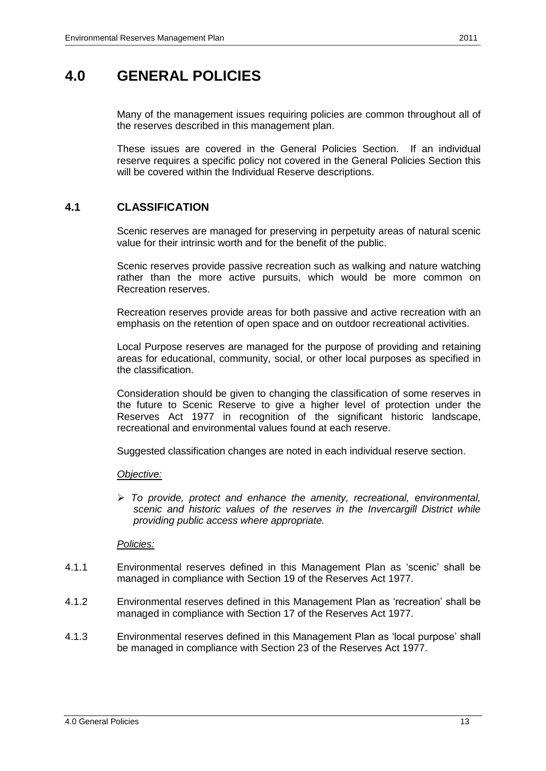# **4.0 GENERAL POLICIES**

Many of the management issues requiring policies are common throughout all of the reserves described in this management plan.

These issues are covered in the General Policies Section. If an individual reserve requires a specific policy not covered in the General Policies Section this will be covered within the Individual Reserve descriptions.

# **4.1 CLASSIFICATION**

Scenic reserves are managed for preserving in perpetuity areas of natural scenic value for their intrinsic worth and for the benefit of the public.

Scenic reserves provide passive recreation such as walking and nature watching rather than the more active pursuits, which would be more common on Recreation reserves.

Recreation reserves provide areas for both passive and active recreation with an emphasis on the retention of open space and on outdoor recreational activities.

Local Purpose reserves are managed for the purpose of providing and retaining areas for educational, community, social, or other local purposes as specified in the classification.

Consideration should be given to changing the classification of some reserves in the future to Scenic Reserve to give a higher level of protection under the Reserves Act 1977 in recognition of the significant historic landscape, recreational and environmental values found at each reserve.

Suggested classification changes are noted in each individual reserve section.

### *Objective:*

 *To provide, protect and enhance the amenity, recreational, environmental, scenic and historic values of the reserves in the Invercargill District while providing public access where appropriate.* 

- 4.1.1 Environmental reserves defined in this Management Plan as 'scenic' shall be managed in compliance with Section 19 of the Reserves Act 1977.
- 4.1.2 Environmental reserves defined in this Management Plan as 'recreation' shall be managed in compliance with Section 17 of the Reserves Act 1977.
- 4.1.3 Environmental reserves defined in this Management Plan as 'local purpose' shall be managed in compliance with Section 23 of the Reserves Act 1977.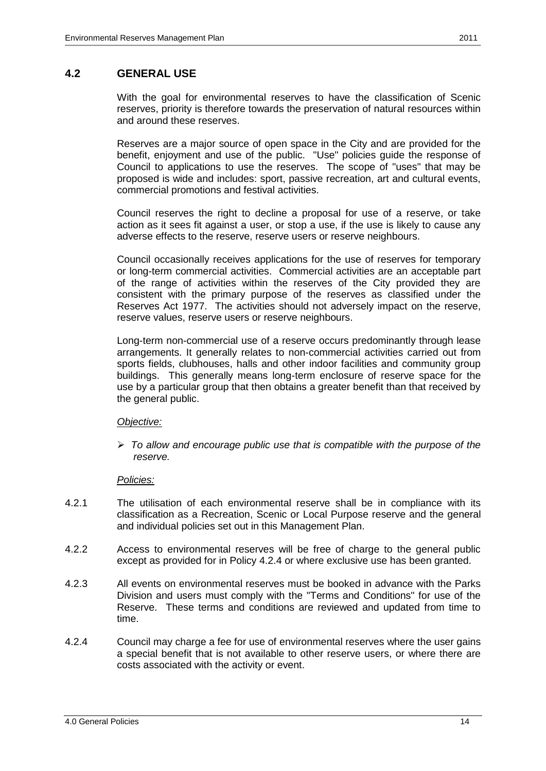### **4.2 GENERAL USE**

With the goal for environmental reserves to have the classification of Scenic reserves, priority is therefore towards the preservation of natural resources within and around these reserves.

Reserves are a major source of open space in the City and are provided for the benefit, enjoyment and use of the public. "Use" policies guide the response of Council to applications to use the reserves. The scope of "uses" that may be proposed is wide and includes: sport, passive recreation, art and cultural events, commercial promotions and festival activities.

Council reserves the right to decline a proposal for use of a reserve, or take action as it sees fit against a user, or stop a use, if the use is likely to cause any adverse effects to the reserve, reserve users or reserve neighbours.

Council occasionally receives applications for the use of reserves for temporary or long-term commercial activities. Commercial activities are an acceptable part of the range of activities within the reserves of the City provided they are consistent with the primary purpose of the reserves as classified under the Reserves Act 1977. The activities should not adversely impact on the reserve, reserve values, reserve users or reserve neighbours.

Long-term non-commercial use of a reserve occurs predominantly through lease arrangements. It generally relates to non-commercial activities carried out from sports fields, clubhouses, halls and other indoor facilities and community group buildings. This generally means long-term enclosure of reserve space for the use by a particular group that then obtains a greater benefit than that received by the general public.

### *Objective:*

 *To allow and encourage public use that is compatible with the purpose of the reserve.*

- 4.2.1 The utilisation of each environmental reserve shall be in compliance with its classification as a Recreation, Scenic or Local Purpose reserve and the general and individual policies set out in this Management Plan.
- 4.2.2 Access to environmental reserves will be free of charge to the general public except as provided for in Policy 4.2.4 or where exclusive use has been granted.
- 4.2.3 All events on environmental reserves must be booked in advance with the Parks Division and users must comply with the "Terms and Conditions" for use of the Reserve. These terms and conditions are reviewed and updated from time to time.
- 4.2.4 Council may charge a fee for use of environmental reserves where the user gains a special benefit that is not available to other reserve users, or where there are costs associated with the activity or event.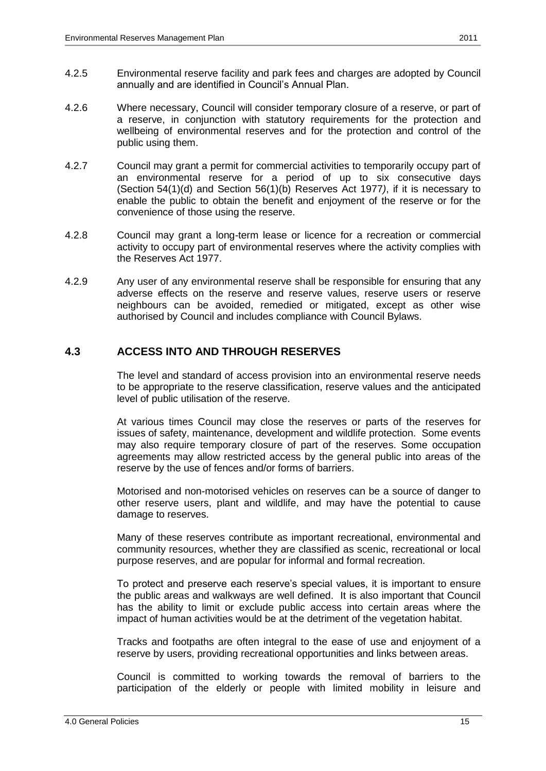- 4.2.5 Environmental reserve facility and park fees and charges are adopted by Council annually and are identified in Council's Annual Plan.
- 4.2.6 Where necessary, Council will consider temporary closure of a reserve, or part of a reserve, in conjunction with statutory requirements for the protection and wellbeing of environmental reserves and for the protection and control of the public using them.
- 4.2.7 Council may grant a permit for commercial activities to temporarily occupy part of an environmental reserve for a period of up to six consecutive days (Section 54(1)(d) and Section 56(1)(b) Reserves Act 1977*)*, if it is necessary to enable the public to obtain the benefit and enjoyment of the reserve or for the convenience of those using the reserve.
- 4.2.8 Council may grant a long-term lease or licence for a recreation or commercial activity to occupy part of environmental reserves where the activity complies with the Reserves Act 1977.
- 4.2.9 Any user of any environmental reserve shall be responsible for ensuring that any adverse effects on the reserve and reserve values, reserve users or reserve neighbours can be avoided, remedied or mitigated, except as other wise authorised by Council and includes compliance with Council Bylaws.

# **4.3 ACCESS INTO AND THROUGH RESERVES**

The level and standard of access provision into an environmental reserve needs to be appropriate to the reserve classification, reserve values and the anticipated level of public utilisation of the reserve.

At various times Council may close the reserves or parts of the reserves for issues of safety, maintenance, development and wildlife protection. Some events may also require temporary closure of part of the reserves. Some occupation agreements may allow restricted access by the general public into areas of the reserve by the use of fences and/or forms of barriers.

Motorised and non-motorised vehicles on reserves can be a source of danger to other reserve users, plant and wildlife, and may have the potential to cause damage to reserves.

Many of these reserves contribute as important recreational, environmental and community resources, whether they are classified as scenic, recreational or local purpose reserves, and are popular for informal and formal recreation.

To protect and preserve each reserve's special values, it is important to ensure the public areas and walkways are well defined. It is also important that Council has the ability to limit or exclude public access into certain areas where the impact of human activities would be at the detriment of the vegetation habitat.

Tracks and footpaths are often integral to the ease of use and enjoyment of a reserve by users, providing recreational opportunities and links between areas.

Council is committed to working towards the removal of barriers to the participation of the elderly or people with limited mobility in leisure and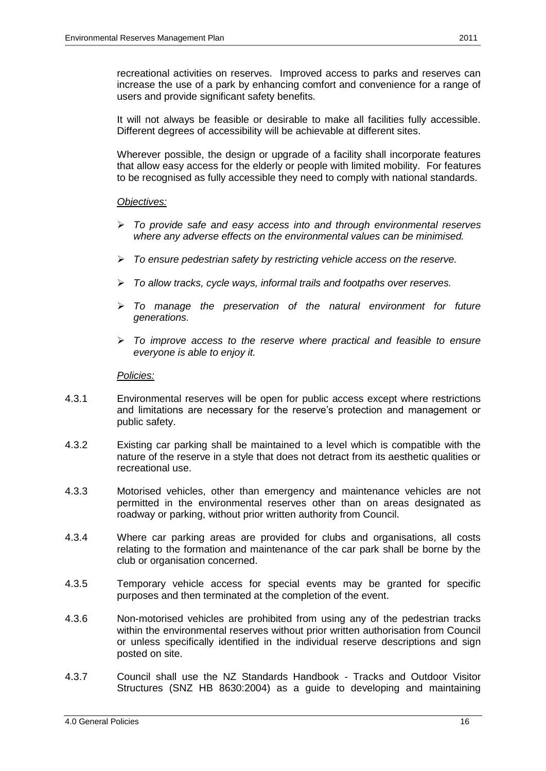recreational activities on reserves. Improved access to parks and reserves can increase the use of a park by enhancing comfort and convenience for a range of users and provide significant safety benefits.

It will not always be feasible or desirable to make all facilities fully accessible. Different degrees of accessibility will be achievable at different sites.

Wherever possible, the design or upgrade of a facility shall incorporate features that allow easy access for the elderly or people with limited mobility. For features to be recognised as fully accessible they need to comply with national standards.

### *Objectives:*

- *To provide safe and easy access into and through environmental reserves where any adverse effects on the environmental values can be minimised.*
- *To ensure pedestrian safety by restricting vehicle access on the reserve.*
- *To allow tracks, cycle ways, informal trails and footpaths over reserves.*
- *To manage the preservation of the natural environment for future generations.*
- *To improve access to the reserve where practical and feasible to ensure everyone is able to enjoy it.*

- 4.3.1 Environmental reserves will be open for public access except where restrictions and limitations are necessary for the reserve's protection and management or public safety.
- 4.3.2 Existing car parking shall be maintained to a level which is compatible with the nature of the reserve in a style that does not detract from its aesthetic qualities or recreational use.
- 4.3.3 Motorised vehicles, other than emergency and maintenance vehicles are not permitted in the environmental reserves other than on areas designated as roadway or parking, without prior written authority from Council.
- 4.3.4 Where car parking areas are provided for clubs and organisations, all costs relating to the formation and maintenance of the car park shall be borne by the club or organisation concerned.
- 4.3.5 Temporary vehicle access for special events may be granted for specific purposes and then terminated at the completion of the event.
- 4.3.6 Non-motorised vehicles are prohibited from using any of the pedestrian tracks within the environmental reserves without prior written authorisation from Council or unless specifically identified in the individual reserve descriptions and sign posted on site.
- 4.3.7 Council shall use the NZ Standards Handbook Tracks and Outdoor Visitor Structures (SNZ HB 8630:2004) as a guide to developing and maintaining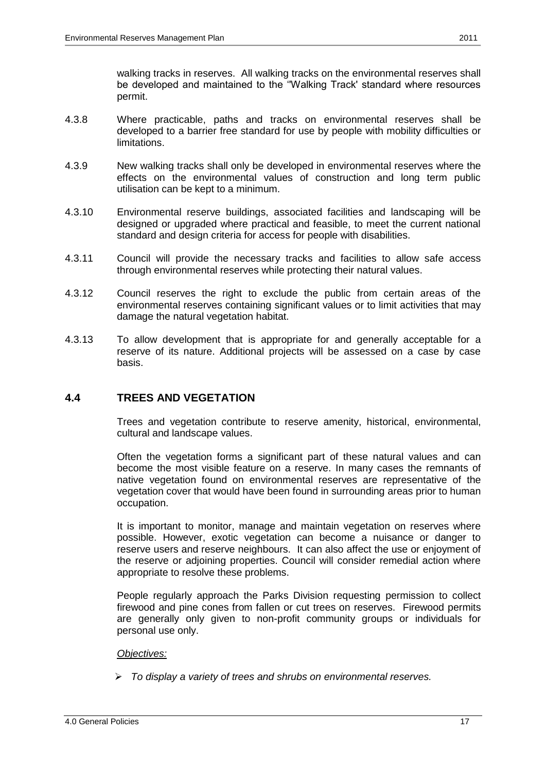walking tracks in reserves. All walking tracks on the environmental reserves shall be developed and maintained to the ''Walking Track' standard where resources permit.

- 4.3.8 Where practicable, paths and tracks on environmental reserves shall be developed to a barrier free standard for use by people with mobility difficulties or limitations.
- 4.3.9 New walking tracks shall only be developed in environmental reserves where the effects on the environmental values of construction and long term public utilisation can be kept to a minimum.
- 4.3.10 Environmental reserve buildings, associated facilities and landscaping will be designed or upgraded where practical and feasible, to meet the current national standard and design criteria for access for people with disabilities.
- 4.3.11 Council will provide the necessary tracks and facilities to allow safe access through environmental reserves while protecting their natural values.
- 4.3.12 Council reserves the right to exclude the public from certain areas of the environmental reserves containing significant values or to limit activities that may damage the natural vegetation habitat.
- 4.3.13 To allow development that is appropriate for and generally acceptable for a reserve of its nature. Additional projects will be assessed on a case by case basis.

### **4.4 TREES AND VEGETATION**

Trees and vegetation contribute to reserve amenity, historical, environmental, cultural and landscape values.

Often the vegetation forms a significant part of these natural values and can become the most visible feature on a reserve. In many cases the remnants of native vegetation found on environmental reserves are representative of the vegetation cover that would have been found in surrounding areas prior to human occupation.

It is important to monitor, manage and maintain vegetation on reserves where possible. However, exotic vegetation can become a nuisance or danger to reserve users and reserve neighbours. It can also affect the use or enjoyment of the reserve or adjoining properties. Council will consider remedial action where appropriate to resolve these problems.

People regularly approach the Parks Division requesting permission to collect firewood and pine cones from fallen or cut trees on reserves. Firewood permits are generally only given to non-profit community groups or individuals for personal use only.

### *Objectives:*

*To display a variety of trees and shrubs on environmental reserves.*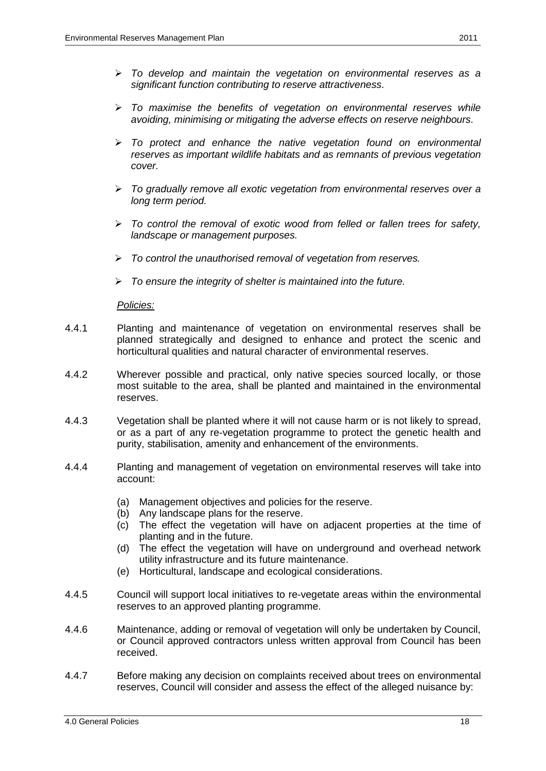- *To develop and maintain the vegetation on environmental reserves as a significant function contributing to reserve attractiveness.*
- *To maximise the benefits of vegetation on environmental reserves while avoiding, minimising or mitigating the adverse effects on reserve neighbours.*
- *To protect and enhance the native vegetation found on environmental reserves as important wildlife habitats and as remnants of previous vegetation cover.*
- *To gradually remove all exotic vegetation from environmental reserves over a long term period.*
- *To control the removal of exotic wood from felled or fallen trees for safety, landscape or management purposes.*
- *To control the unauthorised removal of vegetation from reserves.*
- *To ensure the integrity of shelter is maintained into the future.*

- 4.4.1 Planting and maintenance of vegetation on environmental reserves shall be planned strategically and designed to enhance and protect the scenic and horticultural qualities and natural character of environmental reserves.
- 4.4.2 Wherever possible and practical, only native species sourced locally, or those most suitable to the area, shall be planted and maintained in the environmental reserves.
- 4.4.3 Vegetation shall be planted where it will not cause harm or is not likely to spread, or as a part of any re-vegetation programme to protect the genetic health and purity, stabilisation, amenity and enhancement of the environments.
- 4.4.4 Planting and management of vegetation on environmental reserves will take into account:
	- (a) Management objectives and policies for the reserve.
	- (b) Any landscape plans for the reserve.
	- (c) The effect the vegetation will have on adjacent properties at the time of planting and in the future.
	- (d) The effect the vegetation will have on underground and overhead network utility infrastructure and its future maintenance.
	- (e) Horticultural, landscape and ecological considerations.
- 4.4.5 Council will support local initiatives to re-vegetate areas within the environmental reserves to an approved planting programme.
- 4.4.6 Maintenance, adding or removal of vegetation will only be undertaken by Council, or Council approved contractors unless written approval from Council has been received.
- 4.4.7 Before making any decision on complaints received about trees on environmental reserves, Council will consider and assess the effect of the alleged nuisance by: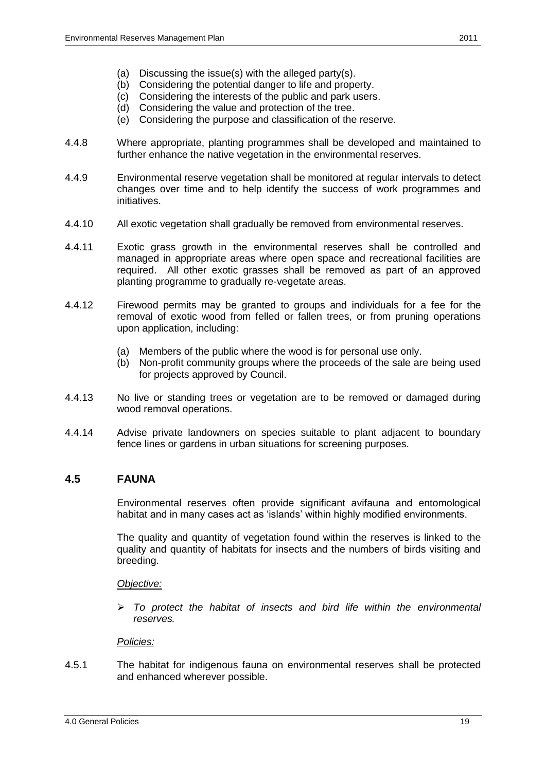- (b) Considering the potential danger to life and property.
- (c) Considering the interests of the public and park users.
- (d) Considering the value and protection of the tree.
- (e) Considering the purpose and classification of the reserve.
- 4.4.8 Where appropriate, planting programmes shall be developed and maintained to further enhance the native vegetation in the environmental reserves.
- 4.4.9 Environmental reserve vegetation shall be monitored at regular intervals to detect changes over time and to help identify the success of work programmes and initiatives.
- 4.4.10 All exotic vegetation shall gradually be removed from environmental reserves.
- 4.4.11 Exotic grass growth in the environmental reserves shall be controlled and managed in appropriate areas where open space and recreational facilities are required. All other exotic grasses shall be removed as part of an approved planting programme to gradually re-vegetate areas.
- 4.4.12 Firewood permits may be granted to groups and individuals for a fee for the removal of exotic wood from felled or fallen trees, or from pruning operations upon application, including:
	- (a) Members of the public where the wood is for personal use only.
	- (b) Non-profit community groups where the proceeds of the sale are being used for projects approved by Council.
- 4.4.13 No live or standing trees or vegetation are to be removed or damaged during wood removal operations.
- 4.4.14 Advise private landowners on species suitable to plant adjacent to boundary fence lines or gardens in urban situations for screening purposes.

# **4.5 FAUNA**

Environmental reserves often provide significant avifauna and entomological habitat and in many cases act as 'islands' within highly modified environments.

The quality and quantity of vegetation found within the reserves is linked to the quality and quantity of habitats for insects and the numbers of birds visiting and breeding.

*Objective:*

 *To protect the habitat of insects and bird life within the environmental reserves.* 

*Policies:*

4.5.1 The habitat for indigenous fauna on environmental reserves shall be protected and enhanced wherever possible.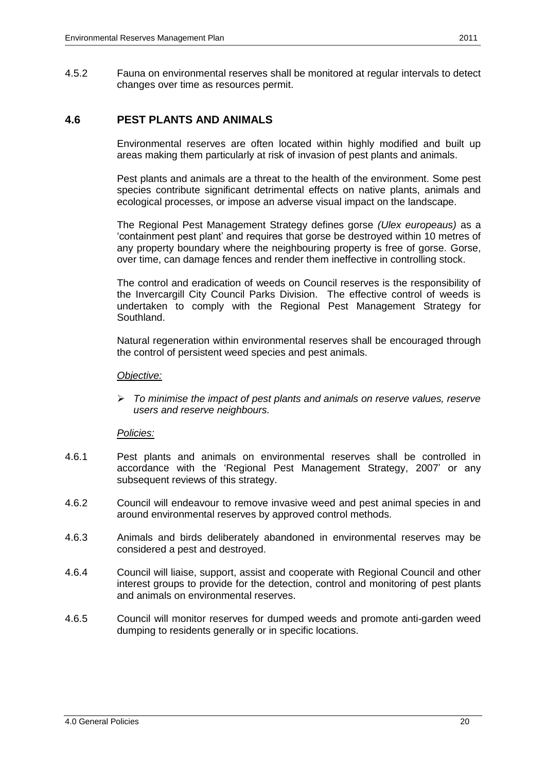4.5.2 Fauna on environmental reserves shall be monitored at regular intervals to detect changes over time as resources permit.

### **4.6 PEST PLANTS AND ANIMALS**

Environmental reserves are often located within highly modified and built up areas making them particularly at risk of invasion of pest plants and animals.

Pest plants and animals are a threat to the health of the environment. Some pest species contribute significant detrimental effects on native plants, animals and ecological processes, or impose an adverse visual impact on the landscape.

The Regional Pest Management Strategy defines gorse *(Ulex europeaus)* as a 'containment pest plant' and requires that gorse be destroyed within 10 metres of any property boundary where the neighbouring property is free of gorse. Gorse, over time, can damage fences and render them ineffective in controlling stock.

The control and eradication of weeds on Council reserves is the responsibility of the Invercargill City Council Parks Division. The effective control of weeds is undertaken to comply with the Regional Pest Management Strategy for Southland.

Natural regeneration within environmental reserves shall be encouraged through the control of persistent weed species and pest animals.

### *Objective:*

 *To minimise the impact of pest plants and animals on reserve values, reserve users and reserve neighbours.*

- 4.6.1 Pest plants and animals on environmental reserves shall be controlled in accordance with the 'Regional Pest Management Strategy, 2007' or any subsequent reviews of this strategy.
- 4.6.2 Council will endeavour to remove invasive weed and pest animal species in and around environmental reserves by approved control methods.
- 4.6.3 Animals and birds deliberately abandoned in environmental reserves may be considered a pest and destroyed.
- 4.6.4 Council will liaise, support, assist and cooperate with Regional Council and other interest groups to provide for the detection, control and monitoring of pest plants and animals on environmental reserves.
- 4.6.5 Council will monitor reserves for dumped weeds and promote anti-garden weed dumping to residents generally or in specific locations.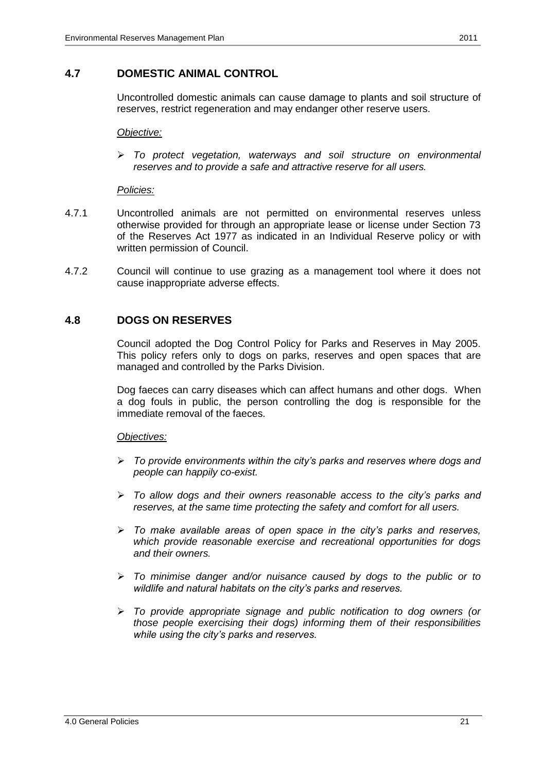# **4.7 DOMESTIC ANIMAL CONTROL**

Uncontrolled domestic animals can cause damage to plants and soil structure of reserves, restrict regeneration and may endanger other reserve users.

### *Objective:*

 *To protect vegetation, waterways and soil structure on environmental reserves and to provide a safe and attractive reserve for all users.*

### *Policies:*

- 4.7.1 Uncontrolled animals are not permitted on environmental reserves unless otherwise provided for through an appropriate lease or license under Section 73 of the Reserves Act 1977 as indicated in an Individual Reserve policy or with written permission of Council.
- 4.7.2 Council will continue to use grazing as a management tool where it does not cause inappropriate adverse effects.

# **4.8 DOGS ON RESERVES**

Council adopted the Dog Control Policy for Parks and Reserves in May 2005. This policy refers only to dogs on parks, reserves and open spaces that are managed and controlled by the Parks Division.

Dog faeces can carry diseases which can affect humans and other dogs. When a dog fouls in public, the person controlling the dog is responsible for the immediate removal of the faeces.

### *Objectives:*

- *To provide environments within the city's parks and reserves where dogs and people can happily co-exist.*
- *To allow dogs and their owners reasonable access to the city's parks and reserves, at the same time protecting the safety and comfort for all users.*
- *To make available areas of open space in the city's parks and reserves, which provide reasonable exercise and recreational opportunities for dogs and their owners.*
- *To minimise danger and/or nuisance caused by dogs to the public or to wildlife and natural habitats on the city's parks and reserves.*
- *To provide appropriate signage and public notification to dog owners (or those people exercising their dogs) informing them of their responsibilities while using the city's parks and reserves.*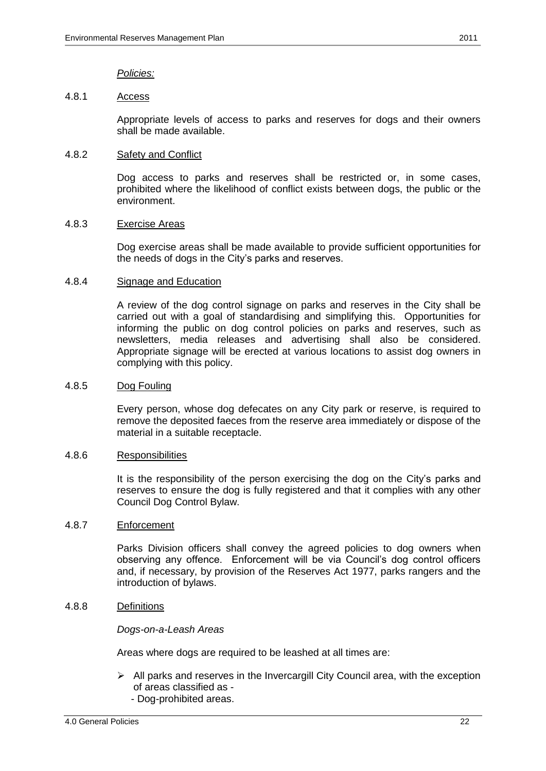### *Policies:*

### 4.8.1 Access

Appropriate levels of access to parks and reserves for dogs and their owners shall be made available.

### 4.8.2 Safety and Conflict

Dog access to parks and reserves shall be restricted or, in some cases, prohibited where the likelihood of conflict exists between dogs, the public or the environment.

### 4.8.3 Exercise Areas

Dog exercise areas shall be made available to provide sufficient opportunities for the needs of dogs in the City's parks and reserves.

### 4.8.4 Signage and Education

A review of the dog control signage on parks and reserves in the City shall be carried out with a goal of standardising and simplifying this. Opportunities for informing the public on dog control policies on parks and reserves, such as newsletters, media releases and advertising shall also be considered. Appropriate signage will be erected at various locations to assist dog owners in complying with this policy.

### 4.8.5 Dog Fouling

Every person, whose dog defecates on any City park or reserve, is required to remove the deposited faeces from the reserve area immediately or dispose of the material in a suitable receptacle.

### 4.8.6 Responsibilities

It is the responsibility of the person exercising the dog on the City's parks and reserves to ensure the dog is fully registered and that it complies with any other Council Dog Control Bylaw.

### 4.8.7 Enforcement

Parks Division officers shall convey the agreed policies to dog owners when observing any offence. Enforcement will be via Council's dog control officers and, if necessary, by provision of the Reserves Act 1977, parks rangers and the introduction of bylaws.

### 4.8.8 Definitions

*Dogs-on-a-Leash Areas*

Areas where dogs are required to be leashed at all times are:

- $\triangleright$  All parks and reserves in the Invercargill City Council area, with the exception of areas classified as -
	- Dog-prohibited areas.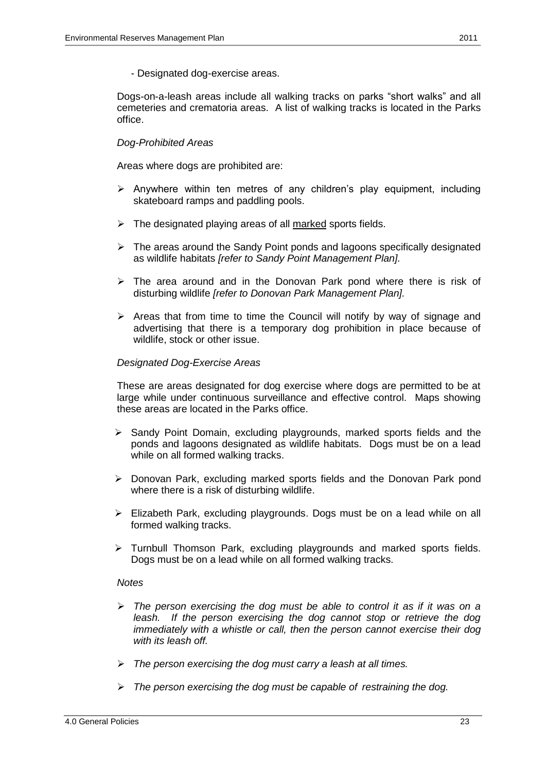- Designated dog-exercise areas.

Dogs-on-a-leash areas include all walking tracks on parks "short walks" and all cemeteries and crematoria areas. A list of walking tracks is located in the Parks office.

### *Dog-Prohibited Areas*

Areas where dogs are prohibited are:

- $\triangleright$  Anywhere within ten metres of any children's play equipment, including skateboard ramps and paddling pools.
- $\triangleright$  The designated playing areas of all marked sports fields.
- $\triangleright$  The areas around the Sandy Point ponds and lagoons specifically designated as wildlife habitats *[refer to Sandy Point Management Plan].*
- $\triangleright$  The area around and in the Donovan Park pond where there is risk of disturbing wildlife *[refer to Donovan Park Management Plan].*
- $\triangleright$  Areas that from time to time the Council will notify by way of signage and advertising that there is a temporary dog prohibition in place because of wildlife, stock or other issue.

### *Designated Dog-Exercise Areas*

These are areas designated for dog exercise where dogs are permitted to be at large while under continuous surveillance and effective control. Maps showing these areas are located in the Parks office.

- $\triangleright$  Sandy Point Domain, excluding playgrounds, marked sports fields and the ponds and lagoons designated as wildlife habitats. Dogs must be on a lead while on all formed walking tracks.
- Donovan Park, excluding marked sports fields and the Donovan Park pond where there is a risk of disturbing wildlife.
- Elizabeth Park, excluding playgrounds. Dogs must be on a lead while on all formed walking tracks.
- Turnbull Thomson Park, excluding playgrounds and marked sports fields. Dogs must be on a lead while on all formed walking tracks.

#### *Notes*

- *The person exercising the dog must be able to control it as if it was on a*  leash. If the person exercising the dog cannot stop or retrieve the dog *immediately with a whistle or call, then the person cannot exercise their dog with its leash off.*
- *The person exercising the dog must carry a leash at all times.*
- *The person exercising the dog must be capable of restraining the dog.*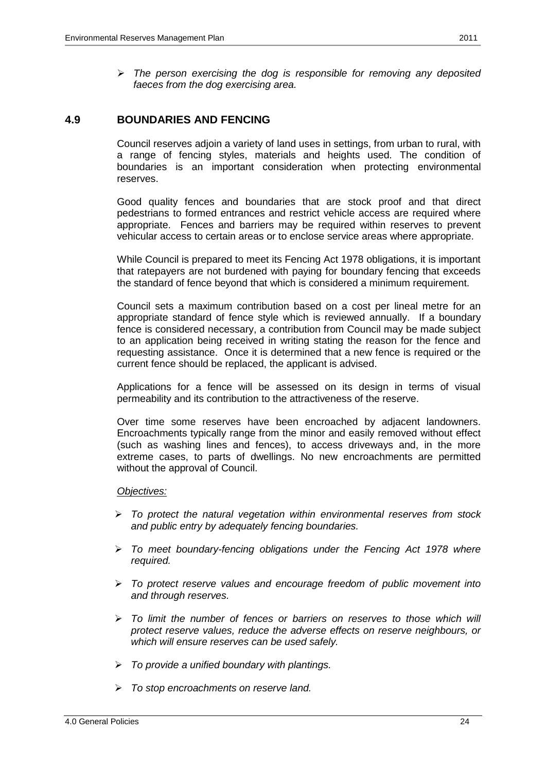*The person exercising the dog is responsible for removing any deposited faeces from the dog exercising area.*

### **4.9 BOUNDARIES AND FENCING**

Council reserves adjoin a variety of land uses in settings, from urban to rural, with a range of fencing styles, materials and heights used. The condition of boundaries is an important consideration when protecting environmental reserves.

Good quality fences and boundaries that are stock proof and that direct pedestrians to formed entrances and restrict vehicle access are required where appropriate. Fences and barriers may be required within reserves to prevent vehicular access to certain areas or to enclose service areas where appropriate.

While Council is prepared to meet its Fencing Act 1978 obligations, it is important that ratepayers are not burdened with paying for boundary fencing that exceeds the standard of fence beyond that which is considered a minimum requirement.

Council sets a maximum contribution based on a cost per lineal metre for an appropriate standard of fence style which is reviewed annually. If a boundary fence is considered necessary, a contribution from Council may be made subject to an application being received in writing stating the reason for the fence and requesting assistance. Once it is determined that a new fence is required or the current fence should be replaced, the applicant is advised.

Applications for a fence will be assessed on its design in terms of visual permeability and its contribution to the attractiveness of the reserve.

Over time some reserves have been encroached by adjacent landowners. Encroachments typically range from the minor and easily removed without effect (such as washing lines and fences), to access driveways and, in the more extreme cases, to parts of dwellings. No new encroachments are permitted without the approval of Council.

#### *Objectives:*

- *To protect the natural vegetation within environmental reserves from stock and public entry by adequately fencing boundaries.*
- *To meet boundary-fencing obligations under the Fencing Act 1978 where required.*
- *To protect reserve values and encourage freedom of public movement into and through reserves.*
- $\geq$  To limit the number of fences or barriers on reserves to those which will *protect reserve values, reduce the adverse effects on reserve neighbours, or which will ensure reserves can be used safely.*
- *To provide a unified boundary with plantings.*
- *To stop encroachments on reserve land.*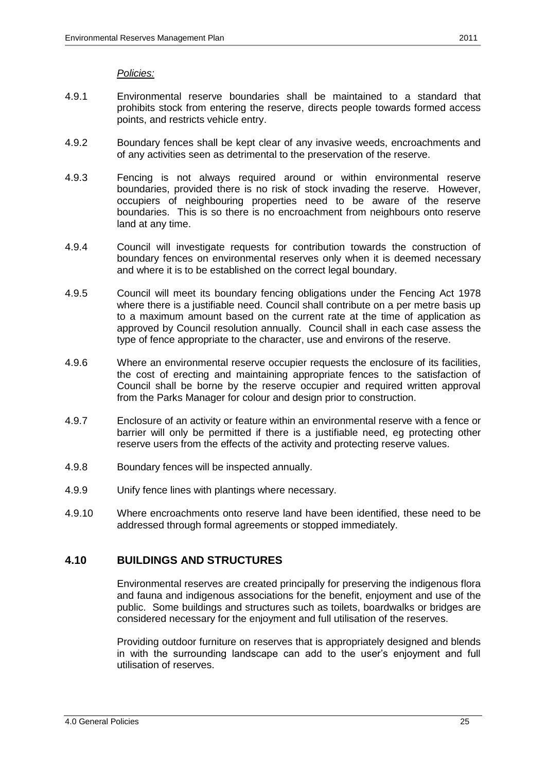### *Policies:*

- 4.9.1 Environmental reserve boundaries shall be maintained to a standard that prohibits stock from entering the reserve, directs people towards formed access points, and restricts vehicle entry.
- 4.9.2 Boundary fences shall be kept clear of any invasive weeds, encroachments and of any activities seen as detrimental to the preservation of the reserve.
- 4.9.3 Fencing is not always required around or within environmental reserve boundaries, provided there is no risk of stock invading the reserve. However, occupiers of neighbouring properties need to be aware of the reserve boundaries. This is so there is no encroachment from neighbours onto reserve land at any time.
- 4.9.4 Council will investigate requests for contribution towards the construction of boundary fences on environmental reserves only when it is deemed necessary and where it is to be established on the correct legal boundary.
- 4.9.5 Council will meet its boundary fencing obligations under the Fencing Act 1978 where there is a justifiable need. Council shall contribute on a per metre basis up to a maximum amount based on the current rate at the time of application as approved by Council resolution annually. Council shall in each case assess the type of fence appropriate to the character, use and environs of the reserve.
- 4.9.6 Where an environmental reserve occupier requests the enclosure of its facilities, the cost of erecting and maintaining appropriate fences to the satisfaction of Council shall be borne by the reserve occupier and required written approval from the Parks Manager for colour and design prior to construction.
- 4.9.7 Enclosure of an activity or feature within an environmental reserve with a fence or barrier will only be permitted if there is a justifiable need, eg protecting other reserve users from the effects of the activity and protecting reserve values.
- 4.9.8 Boundary fences will be inspected annually.
- 4.9.9 Unify fence lines with plantings where necessary.
- 4.9.10 Where encroachments onto reserve land have been identified, these need to be addressed through formal agreements or stopped immediately.

# **4.10 BUILDINGS AND STRUCTURES**

Environmental reserves are created principally for preserving the indigenous flora and fauna and indigenous associations for the benefit, enjoyment and use of the public. Some buildings and structures such as toilets, boardwalks or bridges are considered necessary for the enjoyment and full utilisation of the reserves.

Providing outdoor furniture on reserves that is appropriately designed and blends in with the surrounding landscape can add to the user's enjoyment and full utilisation of reserves.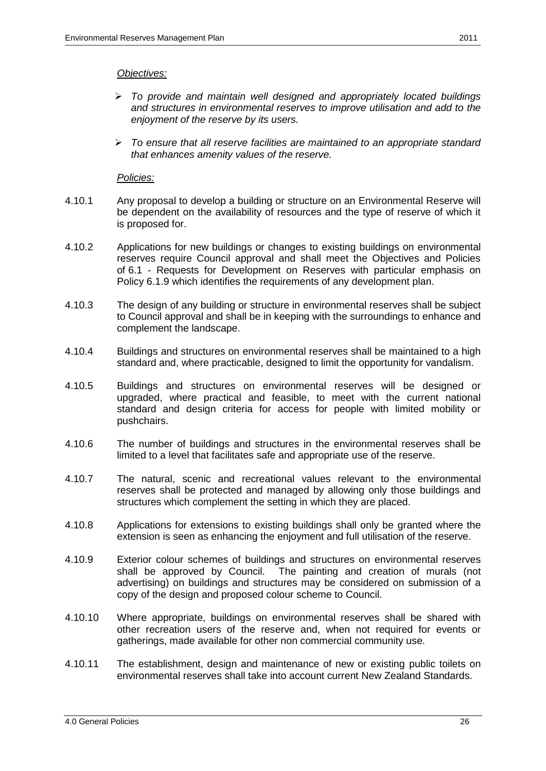### *Objectives:*

- *To provide and maintain well designed and appropriately located buildings and structures in environmental reserves to improve utilisation and add to the enjoyment of the reserve by its users.*
- *To ensure that all reserve facilities are maintained to an appropriate standard that enhances amenity values of the reserve.*

- 4.10.1 Any proposal to develop a building or structure on an Environmental Reserve will be dependent on the availability of resources and the type of reserve of which it is proposed for.
- 4.10.2 Applications for new buildings or changes to existing buildings on environmental reserves require Council approval and shall meet the Objectives and Policies of 6.1 - Requests for Development on Reserves with particular emphasis on Policy 6.1.9 which identifies the requirements of any development plan.
- 4.10.3 The design of any building or structure in environmental reserves shall be subject to Council approval and shall be in keeping with the surroundings to enhance and complement the landscape.
- 4.10.4 Buildings and structures on environmental reserves shall be maintained to a high standard and, where practicable, designed to limit the opportunity for vandalism.
- 4.10.5 Buildings and structures on environmental reserves will be designed or upgraded, where practical and feasible, to meet with the current national standard and design criteria for access for people with limited mobility or pushchairs.
- 4.10.6 The number of buildings and structures in the environmental reserves shall be limited to a level that facilitates safe and appropriate use of the reserve.
- 4.10.7 The natural, scenic and recreational values relevant to the environmental reserves shall be protected and managed by allowing only those buildings and structures which complement the setting in which they are placed.
- 4.10.8 Applications for extensions to existing buildings shall only be granted where the extension is seen as enhancing the enjoyment and full utilisation of the reserve.
- 4.10.9 Exterior colour schemes of buildings and structures on environmental reserves shall be approved by Council. The painting and creation of murals (not advertising) on buildings and structures may be considered on submission of a copy of the design and proposed colour scheme to Council.
- 4.10.10 Where appropriate, buildings on environmental reserves shall be shared with other recreation users of the reserve and, when not required for events or gatherings, made available for other non commercial community use.
- 4.10.11 The establishment, design and maintenance of new or existing public toilets on environmental reserves shall take into account current New Zealand Standards.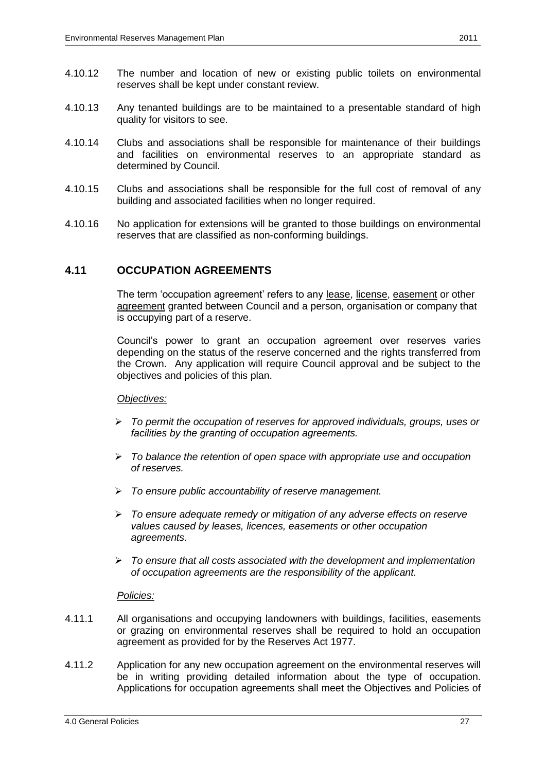- 4.10.12 The number and location of new or existing public toilets on environmental reserves shall be kept under constant review.
- 4.10.13 Any tenanted buildings are to be maintained to a presentable standard of high quality for visitors to see.
- 4.10.14 Clubs and associations shall be responsible for maintenance of their buildings and facilities on environmental reserves to an appropriate standard as determined by Council.
- 4.10.15 Clubs and associations shall be responsible for the full cost of removal of any building and associated facilities when no longer required.
- 4.10.16 No application for extensions will be granted to those buildings on environmental reserves that are classified as non-conforming buildings.

# **4.11 OCCUPATION AGREEMENTS**

The term 'occupation agreement' refers to any lease, license, easement or other agreement granted between Council and a person, organisation or company that is occupying part of a reserve.

Council's power to grant an occupation agreement over reserves varies depending on the status of the reserve concerned and the rights transferred from the Crown. Any application will require Council approval and be subject to the objectives and policies of this plan.

### *Objectives:*

- *To permit the occupation of reserves for approved individuals, groups, uses or facilities by the granting of occupation agreements.*
- *To balance the retention of open space with appropriate use and occupation of reserves.*
- *To ensure public accountability of reserve management.*
- *To ensure adequate remedy or mitigation of any adverse effects on reserve values caused by leases, licences, easements or other occupation agreements.*
- *To ensure that all costs associated with the development and implementation of occupation agreements are the responsibility of the applicant.*

- 4.11.1 All organisations and occupying landowners with buildings, facilities, easements or grazing on environmental reserves shall be required to hold an occupation agreement as provided for by the Reserves Act 1977.
- 4.11.2 Application for any new occupation agreement on the environmental reserves will be in writing providing detailed information about the type of occupation. Applications for occupation agreements shall meet the Objectives and Policies of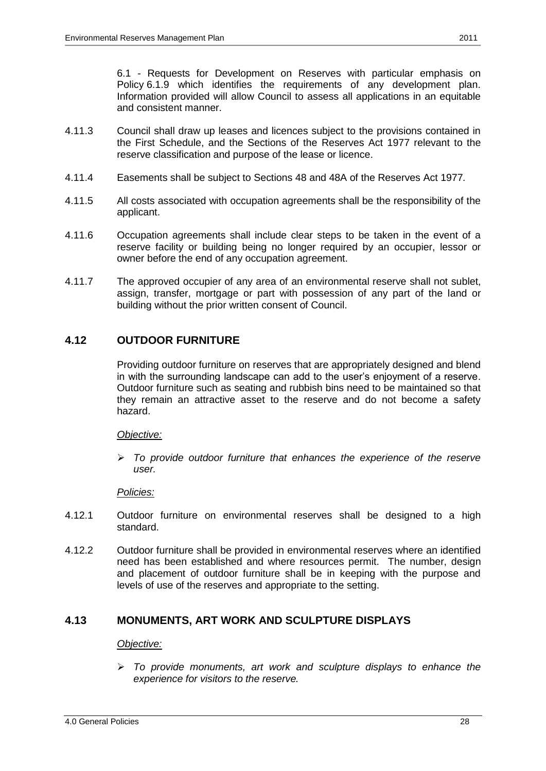6.1 - Requests for Development on Reserves with particular emphasis on Policy 6.1.9 which identifies the requirements of any development plan. Information provided will allow Council to assess all applications in an equitable and consistent manner.

- 4.11.3 Council shall draw up leases and licences subject to the provisions contained in the First Schedule, and the Sections of the Reserves Act 1977 relevant to the reserve classification and purpose of the lease or licence.
- 4.11.4 Easements shall be subject to Sections 48 and 48A of the Reserves Act 1977*.*
- 4.11.5 All costs associated with occupation agreements shall be the responsibility of the applicant.
- 4.11.6 Occupation agreements shall include clear steps to be taken in the event of a reserve facility or building being no longer required by an occupier, lessor or owner before the end of any occupation agreement.
- 4.11.7 The approved occupier of any area of an environmental reserve shall not sublet, assign, transfer, mortgage or part with possession of any part of the land or building without the prior written consent of Council.

# **4.12 OUTDOOR FURNITURE**

Providing outdoor furniture on reserves that are appropriately designed and blend in with the surrounding landscape can add to the user's enjoyment of a reserve. Outdoor furniture such as seating and rubbish bins need to be maintained so that they remain an attractive asset to the reserve and do not become a safety hazard.

### *Objective:*

 *To provide outdoor furniture that enhances the experience of the reserve user.*

### *Policies:*

- 4.12.1 Outdoor furniture on environmental reserves shall be designed to a high standard.
- 4.12.2 Outdoor furniture shall be provided in environmental reserves where an identified need has been established and where resources permit. The number, design and placement of outdoor furniture shall be in keeping with the purpose and levels of use of the reserves and appropriate to the setting.

# **4.13 MONUMENTS, ART WORK AND SCULPTURE DISPLAYS**

### *Objective:*

 *To provide monuments, art work and sculpture displays to enhance the experience for visitors to the reserve.*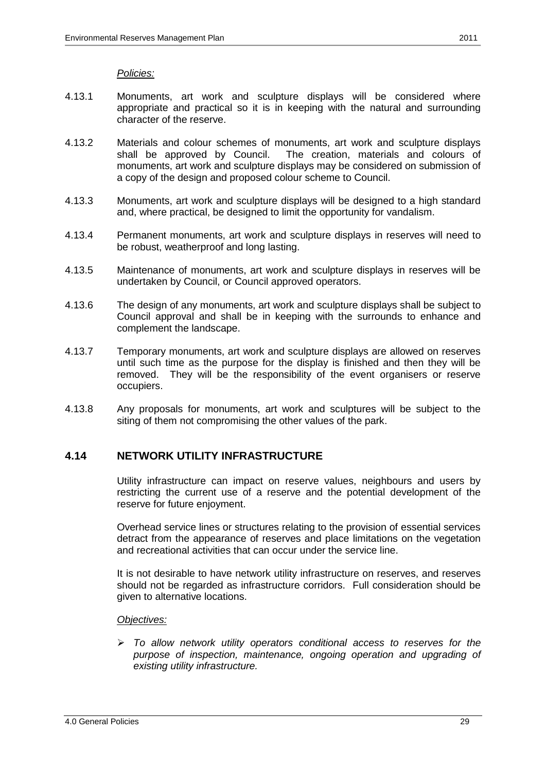### *Policies:*

- 4.13.1 Monuments, art work and sculpture displays will be considered where appropriate and practical so it is in keeping with the natural and surrounding character of the reserve.
- 4.13.2 Materials and colour schemes of monuments, art work and sculpture displays shall be approved by Council. The creation, materials and colours of monuments, art work and sculpture displays may be considered on submission of a copy of the design and proposed colour scheme to Council.
- 4.13.3 Monuments, art work and sculpture displays will be designed to a high standard and, where practical, be designed to limit the opportunity for vandalism.
- 4.13.4 Permanent monuments, art work and sculpture displays in reserves will need to be robust, weatherproof and long lasting.
- 4.13.5 Maintenance of monuments, art work and sculpture displays in reserves will be undertaken by Council, or Council approved operators.
- 4.13.6 The design of any monuments, art work and sculpture displays shall be subject to Council approval and shall be in keeping with the surrounds to enhance and complement the landscape.
- 4.13.7 Temporary monuments, art work and sculpture displays are allowed on reserves until such time as the purpose for the display is finished and then they will be removed. They will be the responsibility of the event organisers or reserve occupiers.
- 4.13.8 Any proposals for monuments, art work and sculptures will be subject to the siting of them not compromising the other values of the park.

### **4.14 NETWORK UTILITY INFRASTRUCTURE**

Utility infrastructure can impact on reserve values, neighbours and users by restricting the current use of a reserve and the potential development of the reserve for future enjoyment.

Overhead service lines or structures relating to the provision of essential services detract from the appearance of reserves and place limitations on the vegetation and recreational activities that can occur under the service line.

It is not desirable to have network utility infrastructure on reserves, and reserves should not be regarded as infrastructure corridors. Full consideration should be given to alternative locations.

### *Objectives:*

 *To allow network utility operators conditional access to reserves for the purpose of inspection, maintenance, ongoing operation and upgrading of existing utility infrastructure.*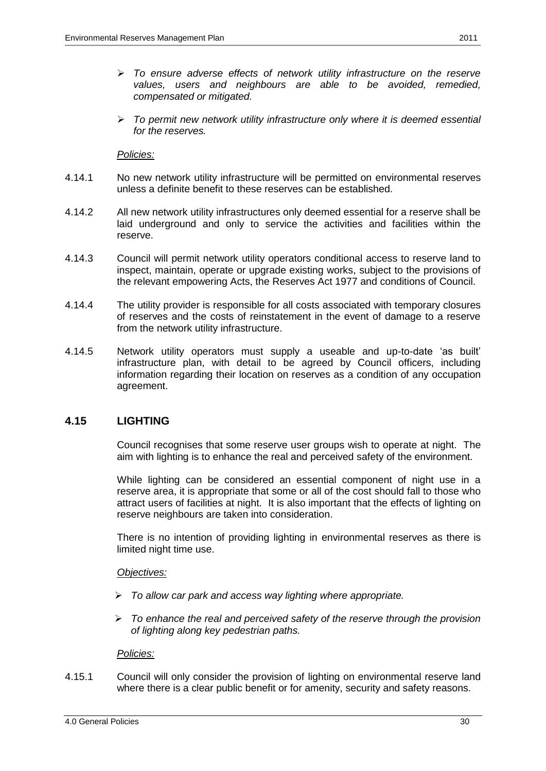*To permit new network utility infrastructure only where it is deemed essential for the reserves.*

### *Policies:*

- 4.14.1 No new network utility infrastructure will be permitted on environmental reserves unless a definite benefit to these reserves can be established.
- 4.14.2 All new network utility infrastructures only deemed essential for a reserve shall be laid underground and only to service the activities and facilities within the reserve.
- 4.14.3 Council will permit network utility operators conditional access to reserve land to inspect, maintain, operate or upgrade existing works, subject to the provisions of the relevant empowering Acts, the Reserves Act 1977 and conditions of Council.
- 4.14.4 The utility provider is responsible for all costs associated with temporary closures of reserves and the costs of reinstatement in the event of damage to a reserve from the network utility infrastructure.
- 4.14.5 Network utility operators must supply a useable and up-to-date 'as built' infrastructure plan, with detail to be agreed by Council officers, including information regarding their location on reserves as a condition of any occupation agreement.

# **4.15 LIGHTING**

Council recognises that some reserve user groups wish to operate at night. The aim with lighting is to enhance the real and perceived safety of the environment.

While lighting can be considered an essential component of night use in a reserve area, it is appropriate that some or all of the cost should fall to those who attract users of facilities at night. It is also important that the effects of lighting on reserve neighbours are taken into consideration.

There is no intention of providing lighting in environmental reserves as there is limited night time use.

### *Objectives:*

- *To allow car park and access way lighting where appropriate.*
- *To enhance the real and perceived safety of the reserve through the provision of lighting along key pedestrian paths.*

# *Policies:*

4.15.1 Council will only consider the provision of lighting on environmental reserve land where there is a clear public benefit or for amenity, security and safety reasons*.*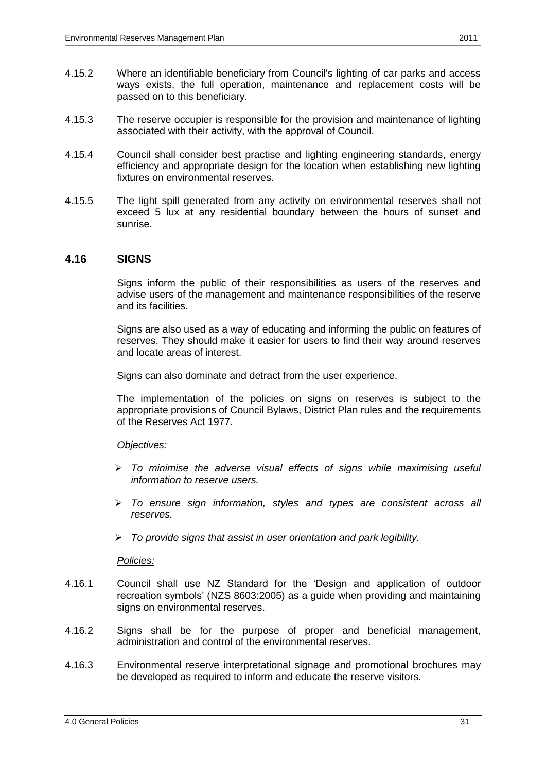- 4.15.2 Where an identifiable beneficiary from Council's lighting of car parks and access ways exists, the full operation, maintenance and replacement costs will be passed on to this beneficiary.
- 4.15.3 The reserve occupier is responsible for the provision and maintenance of lighting associated with their activity, with the approval of Council.
- 4.15.4 Council shall consider best practise and lighting engineering standards, energy efficiency and appropriate design for the location when establishing new lighting fixtures on environmental reserves.
- 4.15.5 The light spill generated from any activity on environmental reserves shall not exceed 5 lux at any residential boundary between the hours of sunset and sunrise.

### **4.16 SIGNS**

Signs inform the public of their responsibilities as users of the reserves and advise users of the management and maintenance responsibilities of the reserve and its facilities.

Signs are also used as a way of educating and informing the public on features of reserves. They should make it easier for users to find their way around reserves and locate areas of interest.

Signs can also dominate and detract from the user experience.

The implementation of the policies on signs on reserves is subject to the appropriate provisions of Council Bylaws, District Plan rules and the requirements of the Reserves Act 1977.

### *Objectives:*

- *To minimise the adverse visual effects of signs while maximising useful information to reserve users.*
- *To ensure sign information, styles and types are consistent across all reserves.*
- *To provide signs that assist in user orientation and park legibility.*

- 4.16.1 Council shall use NZ Standard for the 'Design and application of outdoor recreation symbols' (NZS 8603:2005) as a guide when providing and maintaining signs on environmental reserves.
- 4.16.2 Signs shall be for the purpose of proper and beneficial management, administration and control of the environmental reserves.
- 4.16.3 Environmental reserve interpretational signage and promotional brochures may be developed as required to inform and educate the reserve visitors.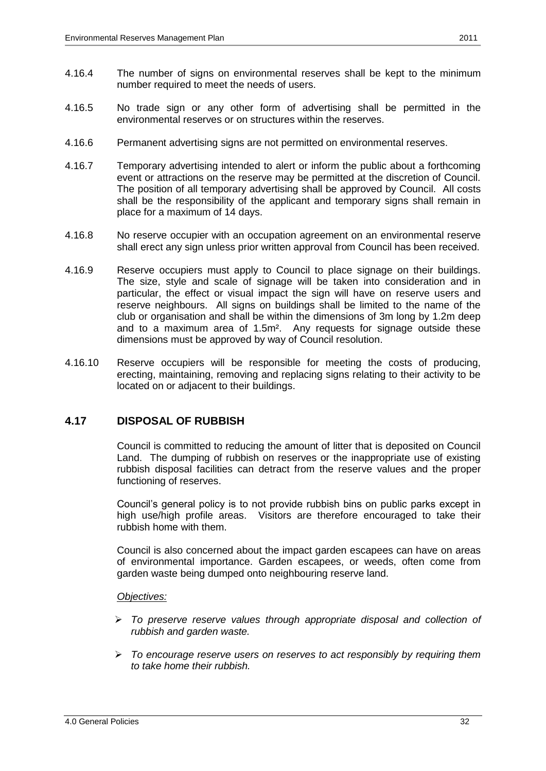- 4.16.4 The number of signs on environmental reserves shall be kept to the minimum number required to meet the needs of users.
- 4.16.5 No trade sign or any other form of advertising shall be permitted in the environmental reserves or on structures within the reserves.
- 4.16.6 Permanent advertising signs are not permitted on environmental reserves.
- 4.16.7 Temporary advertising intended to alert or inform the public about a forthcoming event or attractions on the reserve may be permitted at the discretion of Council. The position of all temporary advertising shall be approved by Council. All costs shall be the responsibility of the applicant and temporary signs shall remain in place for a maximum of 14 days.
- 4.16.8 No reserve occupier with an occupation agreement on an environmental reserve shall erect any sign unless prior written approval from Council has been received.
- 4.16.9 Reserve occupiers must apply to Council to place signage on their buildings. The size, style and scale of signage will be taken into consideration and in particular, the effect or visual impact the sign will have on reserve users and reserve neighbours. All signs on buildings shall be limited to the name of the club or organisation and shall be within the dimensions of 3m long by 1.2m deep and to a maximum area of 1.5m². Any requests for signage outside these dimensions must be approved by way of Council resolution.
- 4.16.10 Reserve occupiers will be responsible for meeting the costs of producing, erecting, maintaining, removing and replacing signs relating to their activity to be located on or adjacent to their buildings.

# **4.17 DISPOSAL OF RUBBISH**

Council is committed to reducing the amount of litter that is deposited on Council Land. The dumping of rubbish on reserves or the inappropriate use of existing rubbish disposal facilities can detract from the reserve values and the proper functioning of reserves.

Council's general policy is to not provide rubbish bins on public parks except in high use/high profile areas. Visitors are therefore encouraged to take their rubbish home with them.

Council is also concerned about the impact garden escapees can have on areas of environmental importance. Garden escapees, or weeds, often come from garden waste being dumped onto neighbouring reserve land.

### *Objectives:*

- *To preserve reserve values through appropriate disposal and collection of rubbish and garden waste.*
- *To encourage reserve users on reserves to act responsibly by requiring them to take home their rubbish.*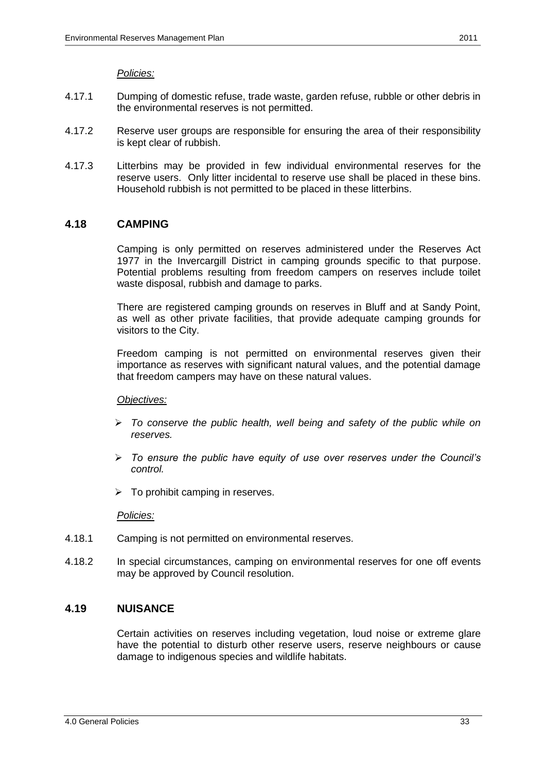- 4.17.1 Dumping of domestic refuse, trade waste, garden refuse, rubble or other debris in the environmental reserves is not permitted.
- 4.17.2 Reserve user groups are responsible for ensuring the area of their responsibility is kept clear of rubbish.
- 4.17.3 Litterbins may be provided in few individual environmental reserves for the reserve users. Only litter incidental to reserve use shall be placed in these bins. Household rubbish is not permitted to be placed in these litterbins.

# **4.18 CAMPING**

Camping is only permitted on reserves administered under the Reserves Act 1977 in the Invercargill District in camping grounds specific to that purpose. Potential problems resulting from freedom campers on reserves include toilet waste disposal, rubbish and damage to parks.

There are registered camping grounds on reserves in Bluff and at Sandy Point, as well as other private facilities, that provide adequate camping grounds for visitors to the City.

Freedom camping is not permitted on environmental reserves given their importance as reserves with significant natural values, and the potential damage that freedom campers may have on these natural values.

### *Objectives:*

- *To conserve the public health, well being and safety of the public while on reserves.*
- *To ensure the public have equity of use over reserves under the Council's control.*
- $\triangleright$  To prohibit camping in reserves.

*Policies:*

- 4.18.1 Camping is not permitted on environmental reserves.
- 4.18.2 In special circumstances, camping on environmental reserves for one off events may be approved by Council resolution.

# **4.19 NUISANCE**

Certain activities on reserves including vegetation, loud noise or extreme glare have the potential to disturb other reserve users, reserve neighbours or cause damage to indigenous species and wildlife habitats.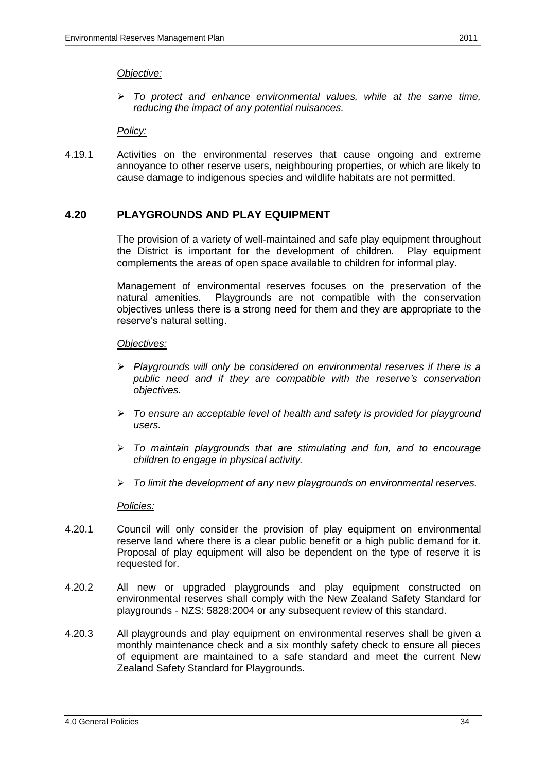#### *Objective:*

 *To protect and enhance environmental values, while at the same time, reducing the impact of any potential nuisances.* 

*Policy:*

4.19.1 Activities on the environmental reserves that cause ongoing and extreme annoyance to other reserve users, neighbouring properties, or which are likely to cause damage to indigenous species and wildlife habitats are not permitted.

# **4.20 PLAYGROUNDS AND PLAY EQUIPMENT**

The provision of a variety of well-maintained and safe play equipment throughout the District is important for the development of children. Play equipment complements the areas of open space available to children for informal play.

Management of environmental reserves focuses on the preservation of the natural amenities. Playgrounds are not compatible with the conservation objectives unless there is a strong need for them and they are appropriate to the reserve's natural setting.

### *Objectives:*

- *Playgrounds will only be considered on environmental reserves if there is a public need and if they are compatible with the reserve's conservation objectives.*
- *To ensure an acceptable level of health and safety is provided for playground users.*
- *To maintain playgrounds that are stimulating and fun, and to encourage children to engage in physical activity.*
- *To limit the development of any new playgrounds on environmental reserves.*

- 4.20.1 Council will only consider the provision of play equipment on environmental reserve land where there is a clear public benefit or a high public demand for it*.* Proposal of play equipment will also be dependent on the type of reserve it is requested for.
- 4.20.2 All new or upgraded playgrounds and play equipment constructed on environmental reserves shall comply with the New Zealand Safety Standard for playgrounds - NZS: 5828:2004 or any subsequent review of this standard.
- 4.20.3 All playgrounds and play equipment on environmental reserves shall be given a monthly maintenance check and a six monthly safety check to ensure all pieces of equipment are maintained to a safe standard and meet the current New Zealand Safety Standard for Playgrounds.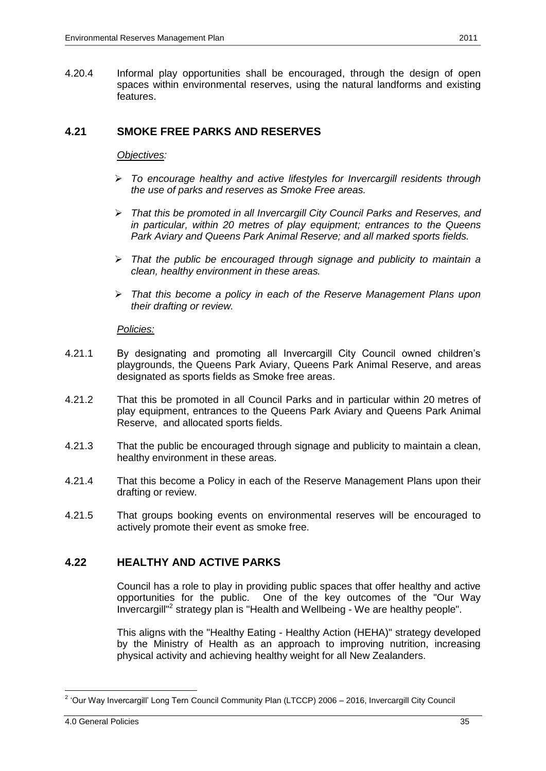4.20.4 Informal play opportunities shall be encouraged, through the design of open spaces within environmental reserves, using the natural landforms and existing features.

# **4.21 SMOKE FREE PARKS AND RESERVES**

### *Objectives:*

- *To encourage healthy and active lifestyles for Invercargill residents through the use of parks and reserves as Smoke Free areas.*
- *That this be promoted in all Invercargill City Council Parks and Reserves, and in particular, within 20 metres of play equipment; entrances to the Queens Park Aviary and Queens Park Animal Reserve; and all marked sports fields.*
- *That the public be encouraged through signage and publicity to maintain a clean, healthy environment in these areas.*
- *That this become a policy in each of the Reserve Management Plans upon their drafting or review.*

### *Policies:*

- 4.21.1 By designating and promoting all Invercargill City Council owned children's playgrounds, the Queens Park Aviary, Queens Park Animal Reserve, and areas designated as sports fields as Smoke free areas.
- 4.21.2 That this be promoted in all Council Parks and in particular within 20 metres of play equipment, entrances to the Queens Park Aviary and Queens Park Animal Reserve, and allocated sports fields.
- 4.21.3 That the public be encouraged through signage and publicity to maintain a clean, healthy environment in these areas.
- 4.21.4 That this become a Policy in each of the Reserve Management Plans upon their drafting or review.
- 4.21.5 That groups booking events on environmental reserves will be encouraged to actively promote their event as smoke free.

# **4.22 HEALTHY AND ACTIVE PARKS**

Council has a role to play in providing public spaces that offer healthy and active opportunities for the public. One of the key outcomes of the "Our Way Invercargill<sup>"2</sup> strategy plan is "Health and Wellbeing - We are healthy people".

This aligns with the "Healthy Eating - Healthy Action (HEHA)" strategy developed by the Ministry of Health as an approach to improving nutrition, increasing physical activity and achieving healthy weight for all New Zealanders.

 $\overline{a}$ 

<sup>&</sup>lt;sup>2</sup> 'Our Way Invercargill' Long Tern Council Community Plan (LTCCP) 2006 – 2016, Invercargill City Council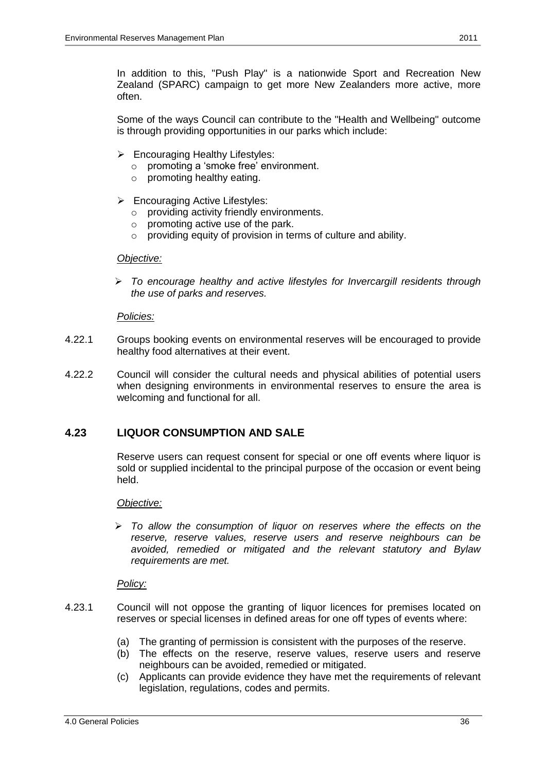In addition to this, "Push Play" is a nationwide Sport and Recreation New Zealand (SPARC) campaign to get more New Zealanders more active, more often.

Some of the ways Council can contribute to the "Health and Wellbeing" outcome is through providing opportunities in our parks which include:

- $\triangleright$  Encouraging Healthy Lifestyles:
	- o promoting a 'smoke free' environment.
	- o promoting healthy eating.
- Encouraging Active Lifestyles:
	- o providing activity friendly environments.
	- $\circ$  promoting active use of the park.
	- o providing equity of provision in terms of culture and ability.

### *Objective:*

 *To encourage healthy and active lifestyles for Invercargill residents through the use of parks and reserves.*

### *Policies:*

- 4.22.1 Groups booking events on environmental reserves will be encouraged to provide healthy food alternatives at their event.
- 4.22.2 Council will consider the cultural needs and physical abilities of potential users when designing environments in environmental reserves to ensure the area is welcoming and functional for all.

# **4.23 LIQUOR CONSUMPTION AND SALE**

Reserve users can request consent for special or one off events where liquor is sold or supplied incidental to the principal purpose of the occasion or event being held.

### *Objective:*

 *To allow the consumption of liquor on reserves where the effects on the reserve, reserve values, reserve users and reserve neighbours can be avoided, remedied or mitigated and the relevant statutory and Bylaw requirements are met.*

### *Policy:*

- 4.23.1 Council will not oppose the granting of liquor licences for premises located on reserves or special licenses in defined areas for one off types of events where:
	- (a) The granting of permission is consistent with the purposes of the reserve.
	- (b) The effects on the reserve, reserve values, reserve users and reserve neighbours can be avoided, remedied or mitigated.
	- (c) Applicants can provide evidence they have met the requirements of relevant legislation, regulations, codes and permits.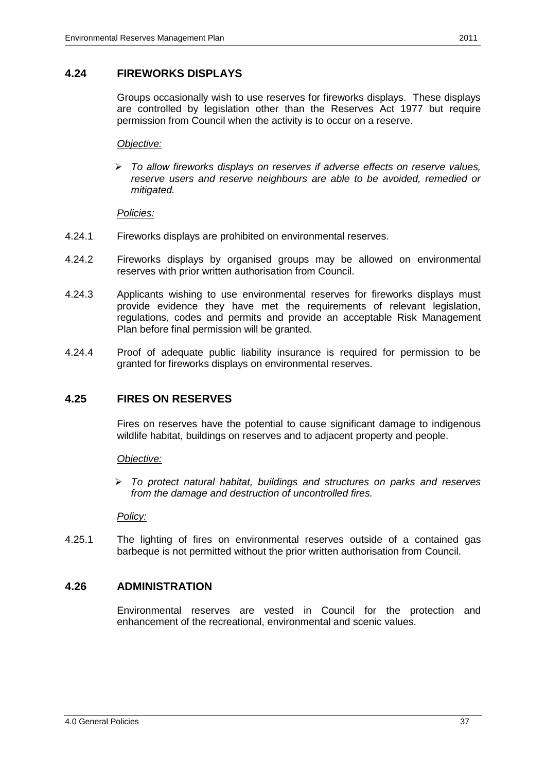Groups occasionally wish to use reserves for fireworks displays. These displays are controlled by legislation other than the Reserves Act 1977 but require permission from Council when the activity is to occur on a reserve.

### *Objective:*

 *To allow fireworks displays on reserves if adverse effects on reserve values, reserve users and reserve neighbours are able to be avoided, remedied or mitigated.*

### *Policies:*

- 4.24.1 Fireworks displays are prohibited on environmental reserves.
- 4.24.2 Fireworks displays by organised groups may be allowed on environmental reserves with prior written authorisation from Council.
- 4.24.3 Applicants wishing to use environmental reserves for fireworks displays must provide evidence they have met the requirements of relevant legislation, regulations, codes and permits and provide an acceptable Risk Management Plan before final permission will be granted.
- 4.24.4 Proof of adequate public liability insurance is required for permission to be granted for fireworks displays on environmental reserves.

# **4.25 FIRES ON RESERVES**

Fires on reserves have the potential to cause significant damage to indigenous wildlife habitat, buildings on reserves and to adjacent property and people.

*Objective:*

 *To protect natural habitat, buildings and structures on parks and reserves from the damage and destruction of uncontrolled fires.*

*Policy:*

4.25.1 The lighting of fires on environmental reserves outside of a contained gas barbeque is not permitted without the prior written authorisation from Council.

# **4.26 ADMINISTRATION**

Environmental reserves are vested in Council for the protection and enhancement of the recreational, environmental and scenic values.